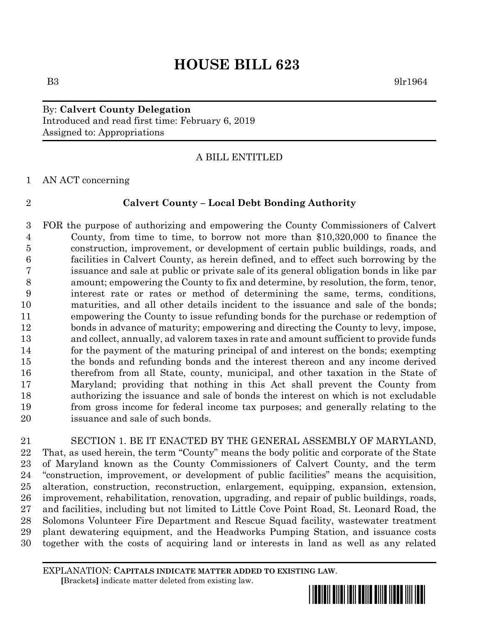# **HOUSE BILL 623**

B3 9lr1964

# By: **Calvert County Delegation** Introduced and read first time: February 6, 2019 Assigned to: Appropriations

# A BILL ENTITLED

AN ACT concerning

# **Calvert County – Local Debt Bonding Authority**

 FOR the purpose of authorizing and empowering the County Commissioners of Calvert County, from time to time, to borrow not more than \$10,320,000 to finance the construction, improvement, or development of certain public buildings, roads, and facilities in Calvert County, as herein defined, and to effect such borrowing by the issuance and sale at public or private sale of its general obligation bonds in like par amount; empowering the County to fix and determine, by resolution, the form, tenor, interest rate or rates or method of determining the same, terms, conditions, maturities, and all other details incident to the issuance and sale of the bonds; empowering the County to issue refunding bonds for the purchase or redemption of bonds in advance of maturity; empowering and directing the County to levy, impose, and collect, annually, ad valorem taxes in rate and amount sufficient to provide funds for the payment of the maturing principal of and interest on the bonds; exempting the bonds and refunding bonds and the interest thereon and any income derived therefrom from all State, county, municipal, and other taxation in the State of Maryland; providing that nothing in this Act shall prevent the County from authorizing the issuance and sale of bonds the interest on which is not excludable from gross income for federal income tax purposes; and generally relating to the issuance and sale of such bonds.

 SECTION 1. BE IT ENACTED BY THE GENERAL ASSEMBLY OF MARYLAND, That, as used herein, the term "County" means the body politic and corporate of the State of Maryland known as the County Commissioners of Calvert County, and the term "construction, improvement, or development of public facilities" means the acquisition, alteration, construction, reconstruction, enlargement, equipping, expansion, extension, improvement, rehabilitation, renovation, upgrading, and repair of public buildings, roads, and facilities, including but not limited to Little Cove Point Road, St. Leonard Road, the Solomons Volunteer Fire Department and Rescue Squad facility, wastewater treatment plant dewatering equipment, and the Headworks Pumping Station, and issuance costs together with the costs of acquiring land or interests in land as well as any related

EXPLANATION: **CAPITALS INDICATE MATTER ADDED TO EXISTING LAW**.  **[**Brackets**]** indicate matter deleted from existing law.

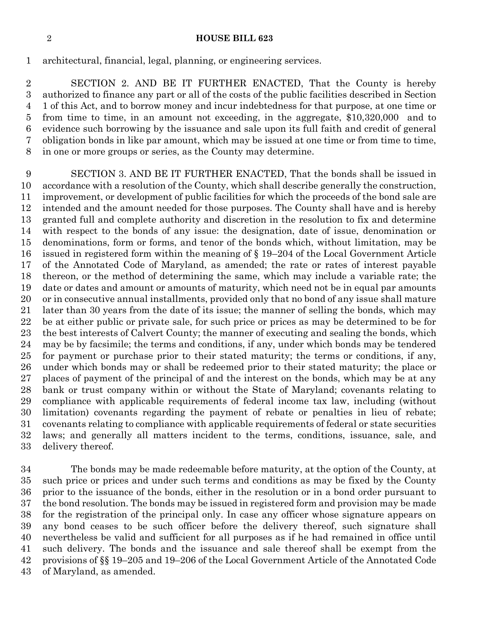## **HOUSE BILL 623**

architectural, financial, legal, planning, or engineering services.

 SECTION 2. AND BE IT FURTHER ENACTED, That the County is hereby authorized to finance any part or all of the costs of the public facilities described in Section 1 of this Act, and to borrow money and incur indebtedness for that purpose, at one time or from time to time, in an amount not exceeding, in the aggregate, \$10,320,000 and to evidence such borrowing by the issuance and sale upon its full faith and credit of general obligation bonds in like par amount, which may be issued at one time or from time to time, in one or more groups or series, as the County may determine.

 SECTION 3. AND BE IT FURTHER ENACTED, That the bonds shall be issued in accordance with a resolution of the County, which shall describe generally the construction, improvement, or development of public facilities for which the proceeds of the bond sale are intended and the amount needed for those purposes. The County shall have and is hereby granted full and complete authority and discretion in the resolution to fix and determine with respect to the bonds of any issue: the designation, date of issue, denomination or denominations, form or forms, and tenor of the bonds which, without limitation, may be issued in registered form within the meaning of § 19–204 of the Local Government Article of the Annotated Code of Maryland, as amended; the rate or rates of interest payable thereon, or the method of determining the same, which may include a variable rate; the date or dates and amount or amounts of maturity, which need not be in equal par amounts or in consecutive annual installments, provided only that no bond of any issue shall mature later than 30 years from the date of its issue; the manner of selling the bonds, which may be at either public or private sale, for such price or prices as may be determined to be for the best interests of Calvert County; the manner of executing and sealing the bonds, which may be by facsimile; the terms and conditions, if any, under which bonds may be tendered for payment or purchase prior to their stated maturity; the terms or conditions, if any, under which bonds may or shall be redeemed prior to their stated maturity; the place or places of payment of the principal of and the interest on the bonds, which may be at any bank or trust company within or without the State of Maryland; covenants relating to compliance with applicable requirements of federal income tax law, including (without 30 limitation) covenants regarding the payment of rebate or penalties in lieu of rebate; covenants relating to compliance with applicable requirements of federal or state securities laws; and generally all matters incident to the terms, conditions, issuance, sale, and delivery thereof.

 The bonds may be made redeemable before maturity, at the option of the County, at such price or prices and under such terms and conditions as may be fixed by the County prior to the issuance of the bonds, either in the resolution or in a bond order pursuant to the bond resolution. The bonds may be issued in registered form and provision may be made for the registration of the principal only. In case any officer whose signature appears on any bond ceases to be such officer before the delivery thereof, such signature shall nevertheless be valid and sufficient for all purposes as if he had remained in office until such delivery. The bonds and the issuance and sale thereof shall be exempt from the provisions of §§ 19–205 and 19–206 of the Local Government Article of the Annotated Code of Maryland, as amended.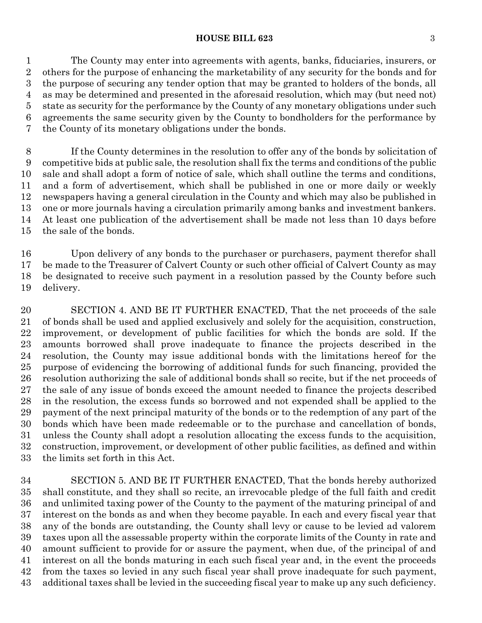## **HOUSE BILL 623** 3

 The County may enter into agreements with agents, banks, fiduciaries, insurers, or others for the purpose of enhancing the marketability of any security for the bonds and for the purpose of securing any tender option that may be granted to holders of the bonds, all as may be determined and presented in the aforesaid resolution, which may (but need not) state as security for the performance by the County of any monetary obligations under such agreements the same security given by the County to bondholders for the performance by the County of its monetary obligations under the bonds.

 If the County determines in the resolution to offer any of the bonds by solicitation of competitive bids at public sale, the resolution shall fix the terms and conditions of the public sale and shall adopt a form of notice of sale, which shall outline the terms and conditions, and a form of advertisement, which shall be published in one or more daily or weekly newspapers having a general circulation in the County and which may also be published in one or more journals having a circulation primarily among banks and investment bankers. At least one publication of the advertisement shall be made not less than 10 days before the sale of the bonds.

 Upon delivery of any bonds to the purchaser or purchasers, payment therefor shall be made to the Treasurer of Calvert County or such other official of Calvert County as may be designated to receive such payment in a resolution passed by the County before such delivery.

 SECTION 4. AND BE IT FURTHER ENACTED, That the net proceeds of the sale of bonds shall be used and applied exclusively and solely for the acquisition, construction, improvement, or development of public facilities for which the bonds are sold. If the amounts borrowed shall prove inadequate to finance the projects described in the resolution, the County may issue additional bonds with the limitations hereof for the purpose of evidencing the borrowing of additional funds for such financing, provided the resolution authorizing the sale of additional bonds shall so recite, but if the net proceeds of the sale of any issue of bonds exceed the amount needed to finance the projects described in the resolution, the excess funds so borrowed and not expended shall be applied to the payment of the next principal maturity of the bonds or to the redemption of any part of the bonds which have been made redeemable or to the purchase and cancellation of bonds, unless the County shall adopt a resolution allocating the excess funds to the acquisition, construction, improvement, or development of other public facilities, as defined and within the limits set forth in this Act.

 SECTION 5. AND BE IT FURTHER ENACTED, That the bonds hereby authorized shall constitute, and they shall so recite, an irrevocable pledge of the full faith and credit and unlimited taxing power of the County to the payment of the maturing principal of and interest on the bonds as and when they become payable. In each and every fiscal year that any of the bonds are outstanding, the County shall levy or cause to be levied ad valorem taxes upon all the assessable property within the corporate limits of the County in rate and amount sufficient to provide for or assure the payment, when due, of the principal of and interest on all the bonds maturing in each such fiscal year and, in the event the proceeds from the taxes so levied in any such fiscal year shall prove inadequate for such payment, additional taxes shall be levied in the succeeding fiscal year to make up any such deficiency.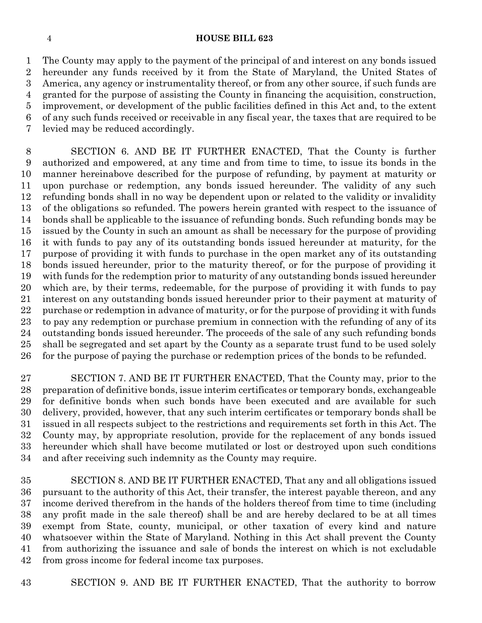## **HOUSE BILL 623**

 The County may apply to the payment of the principal of and interest on any bonds issued hereunder any funds received by it from the State of Maryland, the United States of America, any agency or instrumentality thereof, or from any other source, if such funds are granted for the purpose of assisting the County in financing the acquisition, construction, improvement, or development of the public facilities defined in this Act and, to the extent of any such funds received or receivable in any fiscal year, the taxes that are required to be levied may be reduced accordingly.

 SECTION 6. AND BE IT FURTHER ENACTED, That the County is further authorized and empowered, at any time and from time to time, to issue its bonds in the manner hereinabove described for the purpose of refunding, by payment at maturity or upon purchase or redemption, any bonds issued hereunder. The validity of any such refunding bonds shall in no way be dependent upon or related to the validity or invalidity of the obligations so refunded. The powers herein granted with respect to the issuance of bonds shall be applicable to the issuance of refunding bonds. Such refunding bonds may be issued by the County in such an amount as shall be necessary for the purpose of providing it with funds to pay any of its outstanding bonds issued hereunder at maturity, for the purpose of providing it with funds to purchase in the open market any of its outstanding bonds issued hereunder, prior to the maturity thereof, or for the purpose of providing it with funds for the redemption prior to maturity of any outstanding bonds issued hereunder which are, by their terms, redeemable, for the purpose of providing it with funds to pay interest on any outstanding bonds issued hereunder prior to their payment at maturity of purchase or redemption in advance of maturity, or for the purpose of providing it with funds to pay any redemption or purchase premium in connection with the refunding of any of its outstanding bonds issued hereunder. The proceeds of the sale of any such refunding bonds shall be segregated and set apart by the County as a separate trust fund to be used solely for the purpose of paying the purchase or redemption prices of the bonds to be refunded.

 SECTION 7. AND BE IT FURTHER ENACTED, That the County may, prior to the preparation of definitive bonds, issue interim certificates or temporary bonds, exchangeable for definitive bonds when such bonds have been executed and are available for such delivery, provided, however, that any such interim certificates or temporary bonds shall be issued in all respects subject to the restrictions and requirements set forth in this Act. The County may, by appropriate resolution, provide for the replacement of any bonds issued hereunder which shall have become mutilated or lost or destroyed upon such conditions and after receiving such indemnity as the County may require.

 SECTION 8. AND BE IT FURTHER ENACTED, That any and all obligations issued pursuant to the authority of this Act, their transfer, the interest payable thereon, and any income derived therefrom in the hands of the holders thereof from time to time (including any profit made in the sale thereof) shall be and are hereby declared to be at all times exempt from State, county, municipal, or other taxation of every kind and nature whatsoever within the State of Maryland. Nothing in this Act shall prevent the County from authorizing the issuance and sale of bonds the interest on which is not excludable from gross income for federal income tax purposes.

SECTION 9. AND BE IT FURTHER ENACTED, That the authority to borrow